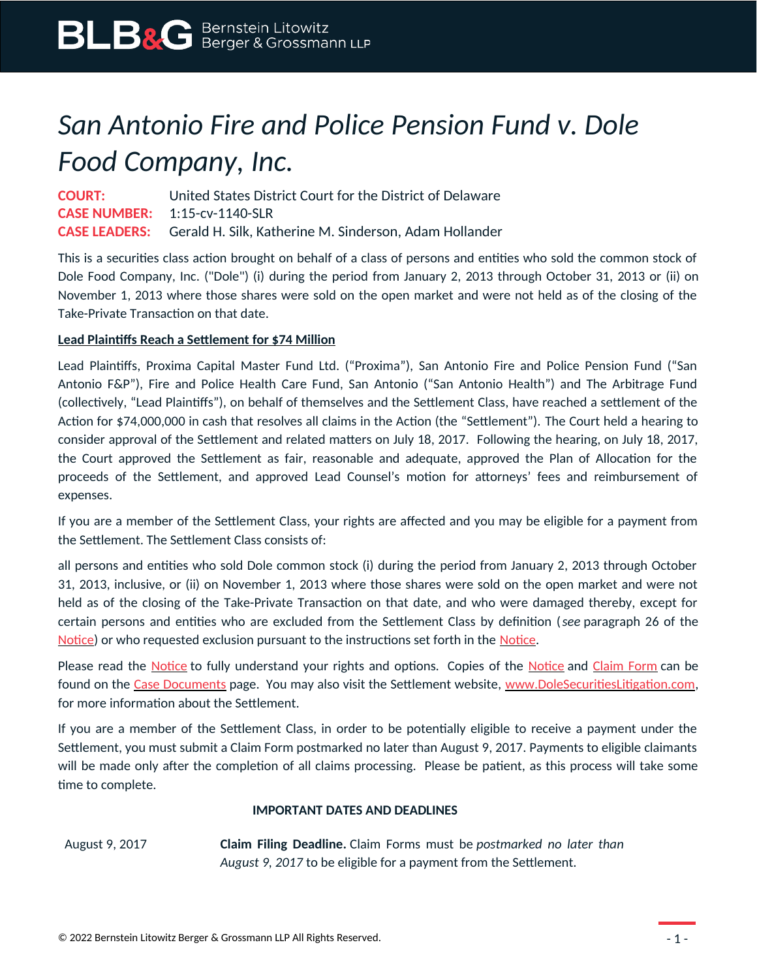# *San Antonio Fire and Police Pension Fund v. Dole Food Company, Inc.*

**COURT:** United States District Court for the District of Delaware **CASE NUMBER:** 1:15-cv-1140-SLR **CASE LEADERS:** Gerald H. Silk, Katherine M. Sinderson, Adam Hollander

This is a securities class action brought on behalf of a class of persons and entities who sold the common stock of Dole Food Company, Inc. ("Dole") (i) during the period from January 2, 2013 through October 31, 2013 or (ii) on November 1, 2013 where those shares were sold on the open market and were not held as of the closing of the Take-Private Transaction on that date.

### **Lead Plaintiffs Reach a Settlement for \$74 Million**

Lead Plaintiffs, Proxima Capital Master Fund Ltd. ("Proxima"), San Antonio Fire and Police Pension Fund ("San Antonio F&P"), Fire and Police Health Care Fund, San Antonio ("San Antonio Health") and The Arbitrage Fund (collectively, "Lead Plaintiffs"), on behalf of themselves and the Settlement Class, have reached a settlement of the Action for \$74,000,000 in cash that resolves all claims in the Action (the "Settlement"). The Court held a hearing to consider approval of the Settlement and related matters on July 18, 2017. Following the hearing, on July 18, 2017, the Court approved the Settlement as fair, reasonable and adequate, approved the Plan of Allocation for the proceeds of the Settlement, and approved Lead Counsel's motion for attorneys' fees and reimbursement of expenses.

If you are a member of the Settlement Class, your rights are affected and you may be eligible for a payment from the Settlement. The Settlement Class consists of:

all persons and entities who sold Dole common stock (i) during the period from January 2, 2013 through October 31, 2013, inclusive, or (ii) on November 1, 2013 where those shares were sold on the open market and were not held as of the closing of the Take-Private Transaction on that date, and who were damaged thereby, except for certain persons and entities who are excluded from the Settlement Class by definition (*see* paragraph 26 of the [Notice](https://www.blbglaw.com/cases/dole-food-company-inc/_res/id=Attachments/index=0/Dole%20-%20Notice.pdf)) or who requested exclusion pursuant to the instructions set forth in the [Notice](https://www.blbglaw.com/cases/dole-food-company-inc/_res/id=Attachments/index=0/Dole%20-%20Notice.pdf).

Please read the [Notice](https://www.blbglaw.com/cases/dole-food-company-inc/_res/id=Attachments/index=0/Dole%20-%20Notice.pdf) to fully understand your rights and options. Copies of the Notice and [Claim Form](https://www.blbglaw.com/cases/dole-food-company-inc/_res/id=Attachments/index=1/Dole%20-%20Claim%20Form.pdf) can be found on the [Case Documents](https://www.blbglaw.com/cases/dole-food-company-inc?viewDocs=1) page. You may also visit the Settlement website, [www.DoleSecuritiesLitigation.com](http://www.DoleSecuritiesLitigation.com/), for more information about the Settlement.

If you are a member of the Settlement Class, in order to be potentially eligible to receive a payment under the Settlement, you must submit a Claim Form postmarked no later than August 9, 2017. Payments to eligible claimants will be made only after the completion of all claims processing. Please be patient, as this process will take some time to complete.

#### **IMPORTANT DATES AND DEADLINES**

August 9, 2017 **Claim Filing Deadline.** Claim Forms must be *postmarked no later than August 9, 2017* to be eligible for a payment from the Settlement.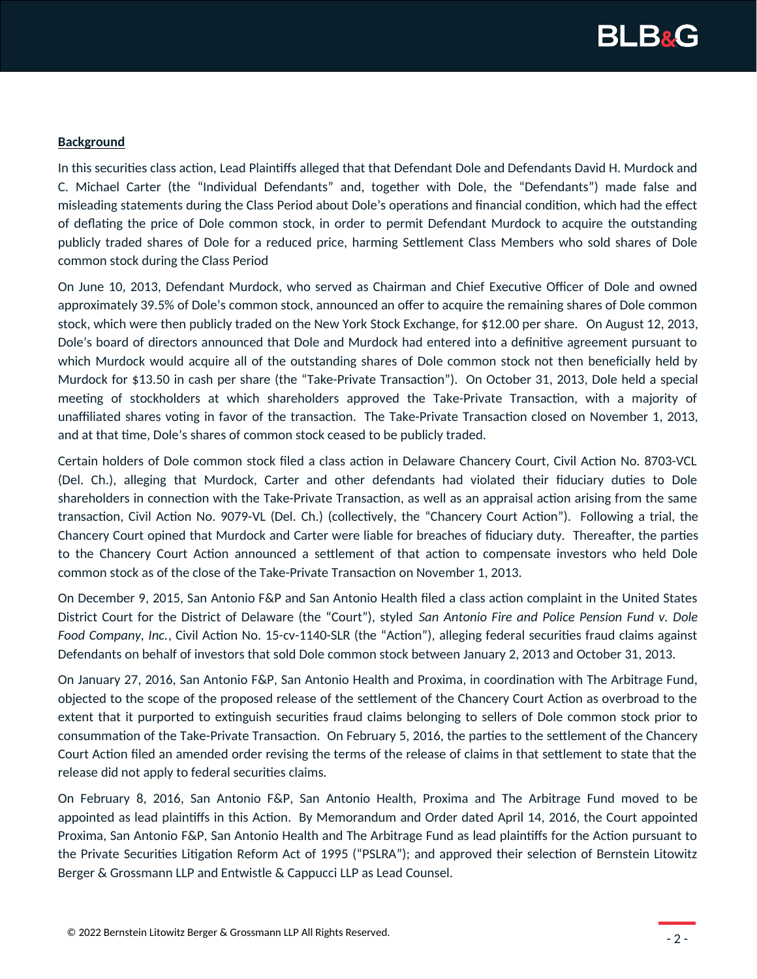

#### **Background**

In this securities class action, Lead Plaintiffs alleged that that Defendant Dole and Defendants David H. Murdock and C. Michael Carter (the "Individual Defendants" and, together with Dole, the "Defendants") made false and misleading statements during the Class Period about Dole's operations and financial condition, which had the effect of deflating the price of Dole common stock, in order to permit Defendant Murdock to acquire the outstanding publicly traded shares of Dole for a reduced price, harming Settlement Class Members who sold shares of Dole common stock during the Class Period

On June 10, 2013, Defendant Murdock, who served as Chairman and Chief Executive Officer of Dole and owned approximately 39.5% of Dole's common stock, announced an offer to acquire the remaining shares of Dole common stock, which were then publicly traded on the New York Stock Exchange, for \$12.00 per share. On August 12, 2013, Dole's board of directors announced that Dole and Murdock had entered into a definitive agreement pursuant to which Murdock would acquire all of the outstanding shares of Dole common stock not then beneficially held by Murdock for \$13.50 in cash per share (the "Take-Private Transaction"). On October 31, 2013, Dole held a special meeting of stockholders at which shareholders approved the Take-Private Transaction, with a majority of unaffiliated shares voting in favor of the transaction. The Take-Private Transaction closed on November 1, 2013, and at that time, Dole's shares of common stock ceased to be publicly traded.

Certain holders of Dole common stock filed a class action in Delaware Chancery Court, Civil Action No. 8703-VCL (Del. Ch.), alleging that Murdock, Carter and other defendants had violated their fiduciary duties to Dole shareholders in connection with the Take-Private Transaction, as well as an appraisal action arising from the same transaction, Civil Action No. 9079-VL (Del. Ch.) (collectively, the "Chancery Court Action"). Following a trial, the Chancery Court opined that Murdock and Carter were liable for breaches of fiduciary duty. Thereafter, the parties to the Chancery Court Action announced a settlement of that action to compensate investors who held Dole common stock as of the close of the Take-Private Transaction on November 1, 2013.

On December 9, 2015, San Antonio F&P and San Antonio Health filed a class action complaint in the United States District Court for the District of Delaware (the "Court"), styled *San Antonio Fire and Police Pension Fund v. Dole Food Company, Inc.*, Civil Action No. 15-cv-1140-SLR (the "Action"), alleging federal securities fraud claims against Defendants on behalf of investors that sold Dole common stock between January 2, 2013 and October 31, 2013.

On January 27, 2016, San Antonio F&P, San Antonio Health and Proxima, in coordination with The Arbitrage Fund, objected to the scope of the proposed release of the settlement of the Chancery Court Action as overbroad to the extent that it purported to extinguish securities fraud claims belonging to sellers of Dole common stock prior to consummation of the Take-Private Transaction. On February 5, 2016, the parties to the settlement of the Chancery Court Action filed an amended order revising the terms of the release of claims in that settlement to state that the release did not apply to federal securities claims.

On February 8, 2016, San Antonio F&P, San Antonio Health, Proxima and The Arbitrage Fund moved to be appointed as lead plaintiffs in this Action. By Memorandum and Order dated April 14, 2016, the Court appointed Proxima, San Antonio F&P, San Antonio Health and The Arbitrage Fund as lead plaintiffs for the Action pursuant to the Private Securities Litigation Reform Act of 1995 ("PSLRA"); and approved their selection of Bernstein Litowitz Berger & Grossmann LLP and Entwistle & Cappucci LLP as Lead Counsel.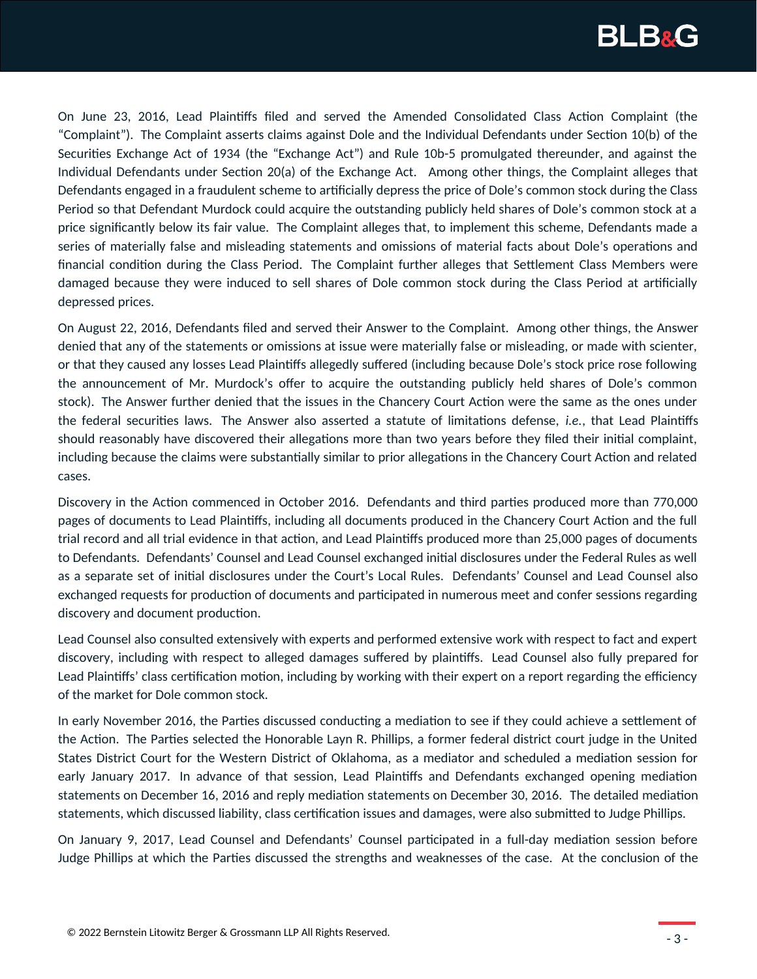

On June 23, 2016, Lead Plaintiffs filed and served the Amended Consolidated Class Action Complaint (the "Complaint"). The Complaint asserts claims against Dole and the Individual Defendants under Section 10(b) of the Securities Exchange Act of 1934 (the "Exchange Act") and Rule 10b-5 promulgated thereunder, and against the Individual Defendants under Section 20(a) of the Exchange Act. Among other things, the Complaint alleges that Defendants engaged in a fraudulent scheme to artificially depress the price of Dole's common stock during the Class Period so that Defendant Murdock could acquire the outstanding publicly held shares of Dole's common stock at a price significantly below its fair value. The Complaint alleges that, to implement this scheme, Defendants made a series of materially false and misleading statements and omissions of material facts about Dole's operations and financial condition during the Class Period. The Complaint further alleges that Settlement Class Members were damaged because they were induced to sell shares of Dole common stock during the Class Period at artificially depressed prices.

On August 22, 2016, Defendants filed and served their Answer to the Complaint. Among other things, the Answer denied that any of the statements or omissions at issue were materially false or misleading, or made with scienter, or that they caused any losses Lead Plaintiffs allegedly suffered (including because Dole's stock price rose following the announcement of Mr. Murdock's offer to acquire the outstanding publicly held shares of Dole's common stock). The Answer further denied that the issues in the Chancery Court Action were the same as the ones under the federal securities laws. The Answer also asserted a statute of limitations defense, *i.e.*, that Lead Plaintiffs should reasonably have discovered their allegations more than two years before they filed their initial complaint, including because the claims were substantially similar to prior allegations in the Chancery Court Action and related cases.

Discovery in the Action commenced in October 2016. Defendants and third parties produced more than 770,000 pages of documents to Lead Plaintiffs, including all documents produced in the Chancery Court Action and the full trial record and all trial evidence in that action, and Lead Plaintiffs produced more than 25,000 pages of documents to Defendants. Defendants' Counsel and Lead Counsel exchanged initial disclosures under the Federal Rules as well as a separate set of initial disclosures under the Court's Local Rules. Defendants' Counsel and Lead Counsel also exchanged requests for production of documents and participated in numerous meet and confer sessions regarding discovery and document production.

Lead Counsel also consulted extensively with experts and performed extensive work with respect to fact and expert discovery, including with respect to alleged damages suffered by plaintiffs. Lead Counsel also fully prepared for Lead Plaintiffs' class certification motion, including by working with their expert on a report regarding the efficiency of the market for Dole common stock.

In early November 2016, the Parties discussed conducting a mediation to see if they could achieve a settlement of the Action. The Parties selected the Honorable Layn R. Phillips, a former federal district court judge in the United States District Court for the Western District of Oklahoma, as a mediator and scheduled a mediation session for early January 2017. In advance of that session, Lead Plaintiffs and Defendants exchanged opening mediation statements on December 16, 2016 and reply mediation statements on December 30, 2016. The detailed mediation statements, which discussed liability, class certification issues and damages, were also submitted to Judge Phillips.

On January 9, 2017, Lead Counsel and Defendants' Counsel participated in a full-day mediation session before Judge Phillips at which the Parties discussed the strengths and weaknesses of the case. At the conclusion of the